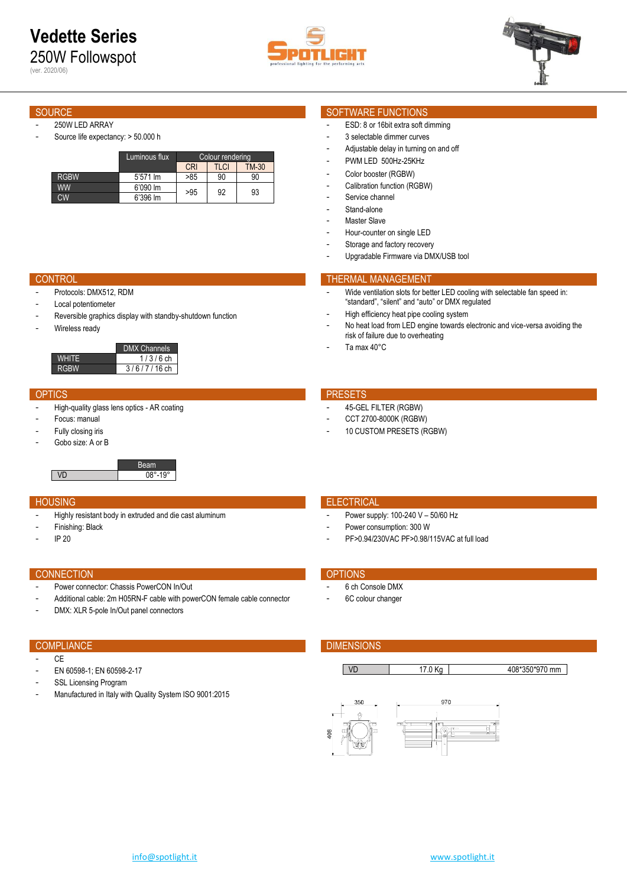(ver. 2020/06)

- 250W LED ARRAY Source life expectancy: > 50.000 h
	- Luminous flux Colour rendering **CRI TLCI TM-30**<br>>85 90 90 RGBW 5'571 lm<br>WW 6'090 lm WW 6'090 lm >95 92 93<br>CW 6'396 lm >95 92 93

- Protocols: DMX512, RDM
- Local potentiometer
- Reversible graphics display with standby-shutdown function
- Wireless ready

|       | <b>DMX Channels</b> |
|-------|---------------------|
| WHITE | $1/3/6$ ch          |
| RGBW  | $3/6/7/16$ ch       |

- High-quality glass lens optics AR coating
- Focus: manual
- Fully closing iris
- Gobo size: A or B

Beam VD 08°-19°

- Highly resistant body in extruded and die cast aluminum
- Finishing: Black
- IP 20

### CONNECTION **CONNECTION**

- Power connector: Chassis PowerCON In/Out
- Additional cable: 2m H05RN-F cable with powerCON female cable connector
- DMX: XLR 5-pole In/Out panel connectors

- CE
- EN 60598-1; EN 60598-2-17
- SSL Licensing Program
- Manufactured in Italy with Quality System ISO 9001:2015

### SOURCE SOURCE SOURCE SOURCE SOFTWARE FUNCTIONS

- ESD: 8 or 16bit extra soft dimming
- 3 selectable dimmer curves
- Adjustable delay in turning on and off
- PWM LED 500Hz-25KHz
- Color booster (RGBW)
- Calibration function (RGBW)
- Service channel
- Stand-alone
- Master Slave
- Hour-counter on single LED
- Storage and factory recovery
- Upgradable Firmware via DMX/USB tool

### **CONTROL THERMAL MANAGEMENT**

- Wide ventilation slots for better LED cooling with selectable fan speed in: "standard", "silent" and "auto" or DMX regulated
- High efficiency heat pipe cooling system
- No heat load from LED engine towards electronic and vice-versa avoiding the risk of failure due to overheating
- Ta max 40°C

### OPTICS **PRESETS**

- 45-GEL FILTER (RGBW)
- CCT 2700-8000K (RGBW)
- 10 CUSTOM PRESETS (RGBW)

### **HOUSING ELECTRICAL CONTROL**

- Power supply: 100-240 V 50/60 Hz
- Power consumption: 300 W
- PF>0.94/230VAC PF>0.98/115VAC at full load

- 6 ch Console DMX
- 6C colour changer

## COMPLIANCE **COMPLIANCE DIMENSIONS**